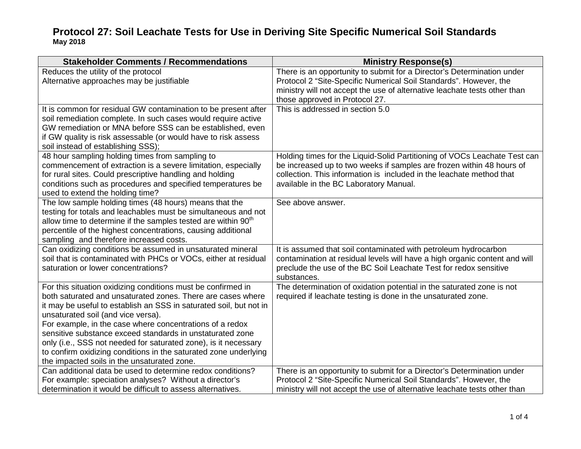| <b>Stakeholder Comments / Recommendations</b>                                                                                                                                                                                                                                                                                                                                                                                                                                                                                                                                                                                                                                                                                                                                                                                                                                                                                                                                                                                                                                                                                                                                                                                                                                                                                                                                                                                                                                                                                | <b>Ministry Response(s)</b>                                                                                                                                                                                                                                                                                                                                                                                                                                                                                                                                                                                                                                                                                                                                                                                                                                                                          |
|------------------------------------------------------------------------------------------------------------------------------------------------------------------------------------------------------------------------------------------------------------------------------------------------------------------------------------------------------------------------------------------------------------------------------------------------------------------------------------------------------------------------------------------------------------------------------------------------------------------------------------------------------------------------------------------------------------------------------------------------------------------------------------------------------------------------------------------------------------------------------------------------------------------------------------------------------------------------------------------------------------------------------------------------------------------------------------------------------------------------------------------------------------------------------------------------------------------------------------------------------------------------------------------------------------------------------------------------------------------------------------------------------------------------------------------------------------------------------------------------------------------------------|------------------------------------------------------------------------------------------------------------------------------------------------------------------------------------------------------------------------------------------------------------------------------------------------------------------------------------------------------------------------------------------------------------------------------------------------------------------------------------------------------------------------------------------------------------------------------------------------------------------------------------------------------------------------------------------------------------------------------------------------------------------------------------------------------------------------------------------------------------------------------------------------------|
| Reduces the utility of the protocol                                                                                                                                                                                                                                                                                                                                                                                                                                                                                                                                                                                                                                                                                                                                                                                                                                                                                                                                                                                                                                                                                                                                                                                                                                                                                                                                                                                                                                                                                          | There is an opportunity to submit for a Director's Determination under                                                                                                                                                                                                                                                                                                                                                                                                                                                                                                                                                                                                                                                                                                                                                                                                                               |
| Alternative approaches may be justifiable                                                                                                                                                                                                                                                                                                                                                                                                                                                                                                                                                                                                                                                                                                                                                                                                                                                                                                                                                                                                                                                                                                                                                                                                                                                                                                                                                                                                                                                                                    | Protocol 2 "Site-Specific Numerical Soil Standards". However, the                                                                                                                                                                                                                                                                                                                                                                                                                                                                                                                                                                                                                                                                                                                                                                                                                                    |
|                                                                                                                                                                                                                                                                                                                                                                                                                                                                                                                                                                                                                                                                                                                                                                                                                                                                                                                                                                                                                                                                                                                                                                                                                                                                                                                                                                                                                                                                                                                              | ministry will not accept the use of alternative leachate tests other than                                                                                                                                                                                                                                                                                                                                                                                                                                                                                                                                                                                                                                                                                                                                                                                                                            |
|                                                                                                                                                                                                                                                                                                                                                                                                                                                                                                                                                                                                                                                                                                                                                                                                                                                                                                                                                                                                                                                                                                                                                                                                                                                                                                                                                                                                                                                                                                                              | those approved in Protocol 27.                                                                                                                                                                                                                                                                                                                                                                                                                                                                                                                                                                                                                                                                                                                                                                                                                                                                       |
| It is common for residual GW contamination to be present after                                                                                                                                                                                                                                                                                                                                                                                                                                                                                                                                                                                                                                                                                                                                                                                                                                                                                                                                                                                                                                                                                                                                                                                                                                                                                                                                                                                                                                                               | This is addressed in section 5.0                                                                                                                                                                                                                                                                                                                                                                                                                                                                                                                                                                                                                                                                                                                                                                                                                                                                     |
| soil remediation complete. In such cases would require active                                                                                                                                                                                                                                                                                                                                                                                                                                                                                                                                                                                                                                                                                                                                                                                                                                                                                                                                                                                                                                                                                                                                                                                                                                                                                                                                                                                                                                                                |                                                                                                                                                                                                                                                                                                                                                                                                                                                                                                                                                                                                                                                                                                                                                                                                                                                                                                      |
| GW remediation or MNA before SSS can be established, even                                                                                                                                                                                                                                                                                                                                                                                                                                                                                                                                                                                                                                                                                                                                                                                                                                                                                                                                                                                                                                                                                                                                                                                                                                                                                                                                                                                                                                                                    |                                                                                                                                                                                                                                                                                                                                                                                                                                                                                                                                                                                                                                                                                                                                                                                                                                                                                                      |
| if GW quality is risk assessable (or would have to risk assess                                                                                                                                                                                                                                                                                                                                                                                                                                                                                                                                                                                                                                                                                                                                                                                                                                                                                                                                                                                                                                                                                                                                                                                                                                                                                                                                                                                                                                                               |                                                                                                                                                                                                                                                                                                                                                                                                                                                                                                                                                                                                                                                                                                                                                                                                                                                                                                      |
| soil instead of establishing SSS);                                                                                                                                                                                                                                                                                                                                                                                                                                                                                                                                                                                                                                                                                                                                                                                                                                                                                                                                                                                                                                                                                                                                                                                                                                                                                                                                                                                                                                                                                           |                                                                                                                                                                                                                                                                                                                                                                                                                                                                                                                                                                                                                                                                                                                                                                                                                                                                                                      |
|                                                                                                                                                                                                                                                                                                                                                                                                                                                                                                                                                                                                                                                                                                                                                                                                                                                                                                                                                                                                                                                                                                                                                                                                                                                                                                                                                                                                                                                                                                                              |                                                                                                                                                                                                                                                                                                                                                                                                                                                                                                                                                                                                                                                                                                                                                                                                                                                                                                      |
|                                                                                                                                                                                                                                                                                                                                                                                                                                                                                                                                                                                                                                                                                                                                                                                                                                                                                                                                                                                                                                                                                                                                                                                                                                                                                                                                                                                                                                                                                                                              |                                                                                                                                                                                                                                                                                                                                                                                                                                                                                                                                                                                                                                                                                                                                                                                                                                                                                                      |
|                                                                                                                                                                                                                                                                                                                                                                                                                                                                                                                                                                                                                                                                                                                                                                                                                                                                                                                                                                                                                                                                                                                                                                                                                                                                                                                                                                                                                                                                                                                              |                                                                                                                                                                                                                                                                                                                                                                                                                                                                                                                                                                                                                                                                                                                                                                                                                                                                                                      |
|                                                                                                                                                                                                                                                                                                                                                                                                                                                                                                                                                                                                                                                                                                                                                                                                                                                                                                                                                                                                                                                                                                                                                                                                                                                                                                                                                                                                                                                                                                                              |                                                                                                                                                                                                                                                                                                                                                                                                                                                                                                                                                                                                                                                                                                                                                                                                                                                                                                      |
|                                                                                                                                                                                                                                                                                                                                                                                                                                                                                                                                                                                                                                                                                                                                                                                                                                                                                                                                                                                                                                                                                                                                                                                                                                                                                                                                                                                                                                                                                                                              |                                                                                                                                                                                                                                                                                                                                                                                                                                                                                                                                                                                                                                                                                                                                                                                                                                                                                                      |
|                                                                                                                                                                                                                                                                                                                                                                                                                                                                                                                                                                                                                                                                                                                                                                                                                                                                                                                                                                                                                                                                                                                                                                                                                                                                                                                                                                                                                                                                                                                              |                                                                                                                                                                                                                                                                                                                                                                                                                                                                                                                                                                                                                                                                                                                                                                                                                                                                                                      |
|                                                                                                                                                                                                                                                                                                                                                                                                                                                                                                                                                                                                                                                                                                                                                                                                                                                                                                                                                                                                                                                                                                                                                                                                                                                                                                                                                                                                                                                                                                                              |                                                                                                                                                                                                                                                                                                                                                                                                                                                                                                                                                                                                                                                                                                                                                                                                                                                                                                      |
|                                                                                                                                                                                                                                                                                                                                                                                                                                                                                                                                                                                                                                                                                                                                                                                                                                                                                                                                                                                                                                                                                                                                                                                                                                                                                                                                                                                                                                                                                                                              |                                                                                                                                                                                                                                                                                                                                                                                                                                                                                                                                                                                                                                                                                                                                                                                                                                                                                                      |
|                                                                                                                                                                                                                                                                                                                                                                                                                                                                                                                                                                                                                                                                                                                                                                                                                                                                                                                                                                                                                                                                                                                                                                                                                                                                                                                                                                                                                                                                                                                              |                                                                                                                                                                                                                                                                                                                                                                                                                                                                                                                                                                                                                                                                                                                                                                                                                                                                                                      |
|                                                                                                                                                                                                                                                                                                                                                                                                                                                                                                                                                                                                                                                                                                                                                                                                                                                                                                                                                                                                                                                                                                                                                                                                                                                                                                                                                                                                                                                                                                                              |                                                                                                                                                                                                                                                                                                                                                                                                                                                                                                                                                                                                                                                                                                                                                                                                                                                                                                      |
|                                                                                                                                                                                                                                                                                                                                                                                                                                                                                                                                                                                                                                                                                                                                                                                                                                                                                                                                                                                                                                                                                                                                                                                                                                                                                                                                                                                                                                                                                                                              |                                                                                                                                                                                                                                                                                                                                                                                                                                                                                                                                                                                                                                                                                                                                                                                                                                                                                                      |
|                                                                                                                                                                                                                                                                                                                                                                                                                                                                                                                                                                                                                                                                                                                                                                                                                                                                                                                                                                                                                                                                                                                                                                                                                                                                                                                                                                                                                                                                                                                              |                                                                                                                                                                                                                                                                                                                                                                                                                                                                                                                                                                                                                                                                                                                                                                                                                                                                                                      |
|                                                                                                                                                                                                                                                                                                                                                                                                                                                                                                                                                                                                                                                                                                                                                                                                                                                                                                                                                                                                                                                                                                                                                                                                                                                                                                                                                                                                                                                                                                                              |                                                                                                                                                                                                                                                                                                                                                                                                                                                                                                                                                                                                                                                                                                                                                                                                                                                                                                      |
|                                                                                                                                                                                                                                                                                                                                                                                                                                                                                                                                                                                                                                                                                                                                                                                                                                                                                                                                                                                                                                                                                                                                                                                                                                                                                                                                                                                                                                                                                                                              |                                                                                                                                                                                                                                                                                                                                                                                                                                                                                                                                                                                                                                                                                                                                                                                                                                                                                                      |
|                                                                                                                                                                                                                                                                                                                                                                                                                                                                                                                                                                                                                                                                                                                                                                                                                                                                                                                                                                                                                                                                                                                                                                                                                                                                                                                                                                                                                                                                                                                              |                                                                                                                                                                                                                                                                                                                                                                                                                                                                                                                                                                                                                                                                                                                                                                                                                                                                                                      |
|                                                                                                                                                                                                                                                                                                                                                                                                                                                                                                                                                                                                                                                                                                                                                                                                                                                                                                                                                                                                                                                                                                                                                                                                                                                                                                                                                                                                                                                                                                                              |                                                                                                                                                                                                                                                                                                                                                                                                                                                                                                                                                                                                                                                                                                                                                                                                                                                                                                      |
|                                                                                                                                                                                                                                                                                                                                                                                                                                                                                                                                                                                                                                                                                                                                                                                                                                                                                                                                                                                                                                                                                                                                                                                                                                                                                                                                                                                                                                                                                                                              |                                                                                                                                                                                                                                                                                                                                                                                                                                                                                                                                                                                                                                                                                                                                                                                                                                                                                                      |
|                                                                                                                                                                                                                                                                                                                                                                                                                                                                                                                                                                                                                                                                                                                                                                                                                                                                                                                                                                                                                                                                                                                                                                                                                                                                                                                                                                                                                                                                                                                              |                                                                                                                                                                                                                                                                                                                                                                                                                                                                                                                                                                                                                                                                                                                                                                                                                                                                                                      |
|                                                                                                                                                                                                                                                                                                                                                                                                                                                                                                                                                                                                                                                                                                                                                                                                                                                                                                                                                                                                                                                                                                                                                                                                                                                                                                                                                                                                                                                                                                                              |                                                                                                                                                                                                                                                                                                                                                                                                                                                                                                                                                                                                                                                                                                                                                                                                                                                                                                      |
|                                                                                                                                                                                                                                                                                                                                                                                                                                                                                                                                                                                                                                                                                                                                                                                                                                                                                                                                                                                                                                                                                                                                                                                                                                                                                                                                                                                                                                                                                                                              |                                                                                                                                                                                                                                                                                                                                                                                                                                                                                                                                                                                                                                                                                                                                                                                                                                                                                                      |
|                                                                                                                                                                                                                                                                                                                                                                                                                                                                                                                                                                                                                                                                                                                                                                                                                                                                                                                                                                                                                                                                                                                                                                                                                                                                                                                                                                                                                                                                                                                              |                                                                                                                                                                                                                                                                                                                                                                                                                                                                                                                                                                                                                                                                                                                                                                                                                                                                                                      |
|                                                                                                                                                                                                                                                                                                                                                                                                                                                                                                                                                                                                                                                                                                                                                                                                                                                                                                                                                                                                                                                                                                                                                                                                                                                                                                                                                                                                                                                                                                                              |                                                                                                                                                                                                                                                                                                                                                                                                                                                                                                                                                                                                                                                                                                                                                                                                                                                                                                      |
|                                                                                                                                                                                                                                                                                                                                                                                                                                                                                                                                                                                                                                                                                                                                                                                                                                                                                                                                                                                                                                                                                                                                                                                                                                                                                                                                                                                                                                                                                                                              |                                                                                                                                                                                                                                                                                                                                                                                                                                                                                                                                                                                                                                                                                                                                                                                                                                                                                                      |
|                                                                                                                                                                                                                                                                                                                                                                                                                                                                                                                                                                                                                                                                                                                                                                                                                                                                                                                                                                                                                                                                                                                                                                                                                                                                                                                                                                                                                                                                                                                              |                                                                                                                                                                                                                                                                                                                                                                                                                                                                                                                                                                                                                                                                                                                                                                                                                                                                                                      |
|                                                                                                                                                                                                                                                                                                                                                                                                                                                                                                                                                                                                                                                                                                                                                                                                                                                                                                                                                                                                                                                                                                                                                                                                                                                                                                                                                                                                                                                                                                                              |                                                                                                                                                                                                                                                                                                                                                                                                                                                                                                                                                                                                                                                                                                                                                                                                                                                                                                      |
| 48 hour sampling holding times from sampling to<br>commencement of extraction is a severe limitation, especially<br>for rural sites. Could prescriptive handling and holding<br>conditions such as procedures and specified temperatures be<br>used to extend the holding time?<br>The low sample holding times (48 hours) means that the<br>testing for totals and leachables must be simultaneous and not<br>allow time to determine if the samples tested are within 90 <sup>th</sup><br>percentile of the highest concentrations, causing additional<br>sampling and therefore increased costs.<br>Can oxidizing conditions be assumed in unsaturated mineral<br>soil that is contaminated with PHCs or VOCs, either at residual<br>saturation or lower concentrations?<br>For this situation oxidizing conditions must be confirmed in<br>both saturated and unsaturated zones. There are cases where<br>it may be useful to establish an SSS in saturated soil, but not in<br>unsaturated soil (and vice versa).<br>For example, in the case where concentrations of a redox<br>sensitive substance exceed standards in unstaturated zone<br>only (i.e., SSS not needed for saturated zone), is it necessary<br>to confirm oxidizing conditions in the saturated zone underlying<br>the impacted soils in the unsaturated zone.<br>Can additional data be used to determine redox conditions?<br>For example: speciation analyses? Without a director's<br>determination it would be difficult to assess alternatives. | Holding times for the Liquid-Solid Partitioning of VOCs Leachate Test can<br>be increased up to two weeks if samples are frozen within 48 hours of<br>collection. This information is included in the leachate method that<br>available in the BC Laboratory Manual.<br>See above answer.<br>It is assumed that soil contaminated with petroleum hydrocarbon<br>contamination at residual levels will have a high organic content and will<br>preclude the use of the BC Soil Leachate Test for redox sensitive<br>substances.<br>The determination of oxidation potential in the saturated zone is not<br>required if leachate testing is done in the unsaturated zone.<br>There is an opportunity to submit for a Director's Determination under<br>Protocol 2 "Site-Specific Numerical Soil Standards". However, the<br>ministry will not accept the use of alternative leachate tests other than |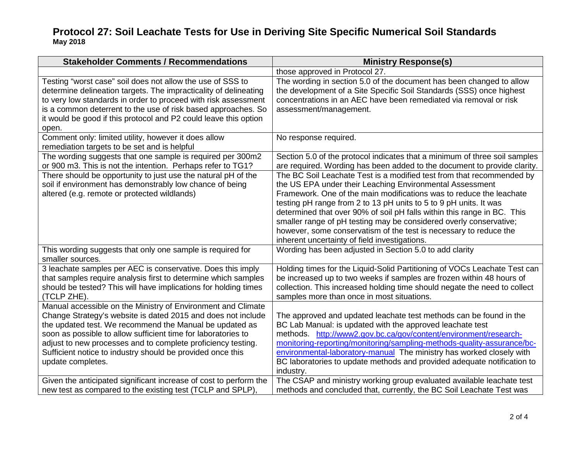| <b>Stakeholder Comments / Recommendations</b>                                                                                                                                                                                                                                                                                                                                                                                                                                    | <b>Ministry Response(s)</b>                                                                                                                                                                                                                                                                                                                                                                                                                                                                                                                                                                                                                                                                                    |
|----------------------------------------------------------------------------------------------------------------------------------------------------------------------------------------------------------------------------------------------------------------------------------------------------------------------------------------------------------------------------------------------------------------------------------------------------------------------------------|----------------------------------------------------------------------------------------------------------------------------------------------------------------------------------------------------------------------------------------------------------------------------------------------------------------------------------------------------------------------------------------------------------------------------------------------------------------------------------------------------------------------------------------------------------------------------------------------------------------------------------------------------------------------------------------------------------------|
|                                                                                                                                                                                                                                                                                                                                                                                                                                                                                  | those approved in Protocol 27.                                                                                                                                                                                                                                                                                                                                                                                                                                                                                                                                                                                                                                                                                 |
| Testing "worst case" soil does not allow the use of SSS to<br>determine delineation targets. The impracticality of delineating<br>to very low standards in order to proceed with risk assessment<br>is a common deterrent to the use of risk based approaches. So<br>it would be good if this protocol and P2 could leave this option<br>open.                                                                                                                                   | The wording in section 5.0 of the document has been changed to allow<br>the development of a Site Specific Soil Standards (SSS) once highest<br>concentrations in an AEC have been remediated via removal or risk<br>assessment/management.                                                                                                                                                                                                                                                                                                                                                                                                                                                                    |
| Comment only: limited utility, however it does allow<br>remediation targets to be set and is helpful                                                                                                                                                                                                                                                                                                                                                                             | No response required.                                                                                                                                                                                                                                                                                                                                                                                                                                                                                                                                                                                                                                                                                          |
| The wording suggests that one sample is required per 300m2<br>or 900 m3. This is not the intention. Perhaps refer to TG1?<br>There should be opportunity to just use the natural pH of the<br>soil if environment has demonstrably low chance of being<br>altered (e.g. remote or protected wildlands)                                                                                                                                                                           | Section 5.0 of the protocol indicates that a minimum of three soil samples<br>are required. Wording has been added to the document to provide clarity.<br>The BC Soil Leachate Test is a modified test from that recommended by<br>the US EPA under their Leaching Environmental Assessment<br>Framework. One of the main modifications was to reduce the leachate<br>testing pH range from 2 to 13 pH units to 5 to 9 pH units. It was<br>determined that over 90% of soil pH falls within this range in BC. This<br>smaller range of pH testing may be considered overly conservative;<br>however, some conservatism of the test is necessary to reduce the<br>inherent uncertainty of field investigations. |
| This wording suggests that only one sample is required for<br>smaller sources.                                                                                                                                                                                                                                                                                                                                                                                                   | Wording has been adjusted in Section 5.0 to add clarity                                                                                                                                                                                                                                                                                                                                                                                                                                                                                                                                                                                                                                                        |
| 3 leachate samples per AEC is conservative. Does this imply<br>that samples require analysis first to determine which samples<br>should be tested? This will have implications for holding times<br>(TCLP ZHE).                                                                                                                                                                                                                                                                  | Holding times for the Liquid-Solid Partitioning of VOCs Leachate Test can<br>be increased up to two weeks if samples are frozen within 48 hours of<br>collection. This increased holding time should negate the need to collect<br>samples more than once in most situations.                                                                                                                                                                                                                                                                                                                                                                                                                                  |
| Manual accessible on the Ministry of Environment and Climate<br>Change Strategy's website is dated 2015 and does not include<br>the updated test. We recommend the Manual be updated as<br>soon as possible to allow sufficient time for laboratories to<br>adjust to new processes and to complete proficiency testing.<br>Sufficient notice to industry should be provided once this<br>update completes.<br>Given the anticipated significant increase of cost to perform the | The approved and updated leachate test methods can be found in the<br>BC Lab Manual: is updated with the approved leachate test<br>methods. http://www2.gov.bc.ca/gov/content/environment/research-<br>monitoring-reporting/monitoring/sampling-methods-quality-assurance/bc-<br>environmental-laboratory-manual The ministry has worked closely with<br>BC laboratories to update methods and provided adequate notification to<br>industry.<br>The CSAP and ministry working group evaluated available leachate test                                                                                                                                                                                         |
| new test as compared to the existing test (TCLP and SPLP).                                                                                                                                                                                                                                                                                                                                                                                                                       | methods and concluded that, currently, the BC Soil Leachate Test was                                                                                                                                                                                                                                                                                                                                                                                                                                                                                                                                                                                                                                           |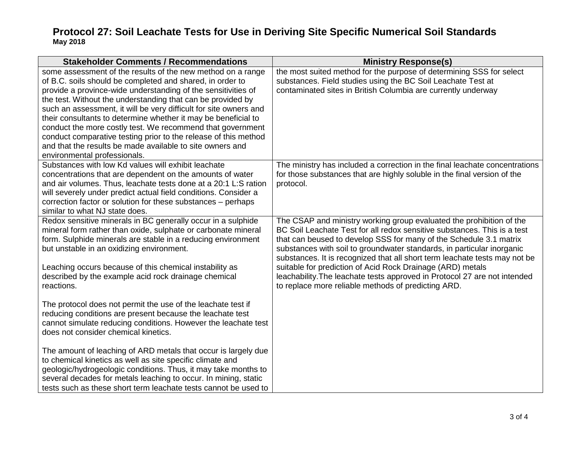| <b>Stakeholder Comments / Recommendations</b>                                                                                                                                                                                                                                                                                                                                                                                                                                                                                                                                                                                 | <b>Ministry Response(s)</b>                                                                                                                                                                                                                                                                                                                                                                                                                                                                                                                                                      |
|-------------------------------------------------------------------------------------------------------------------------------------------------------------------------------------------------------------------------------------------------------------------------------------------------------------------------------------------------------------------------------------------------------------------------------------------------------------------------------------------------------------------------------------------------------------------------------------------------------------------------------|----------------------------------------------------------------------------------------------------------------------------------------------------------------------------------------------------------------------------------------------------------------------------------------------------------------------------------------------------------------------------------------------------------------------------------------------------------------------------------------------------------------------------------------------------------------------------------|
| some assessment of the results of the new method on a range<br>of B.C. soils should be completed and shared, in order to<br>provide a province-wide understanding of the sensitivities of<br>the test. Without the understanding that can be provided by<br>such an assessment, it will be very difficult for site owners and<br>their consultants to determine whether it may be beneficial to<br>conduct the more costly test. We recommend that government<br>conduct comparative testing prior to the release of this method<br>and that the results be made available to site owners and<br>environmental professionals. | the most suited method for the purpose of determining SSS for select<br>substances. Field studies using the BC Soil Leachate Test at<br>contaminated sites in British Columbia are currently underway                                                                                                                                                                                                                                                                                                                                                                            |
| Substances with low Kd values will exhibit leachate<br>concentrations that are dependent on the amounts of water<br>and air volumes. Thus, leachate tests done at a 20:1 L:S ration<br>will severely under predict actual field conditions. Consider a<br>correction factor or solution for these substances - perhaps<br>similar to what NJ state does.                                                                                                                                                                                                                                                                      | The ministry has included a correction in the final leachate concentrations<br>for those substances that are highly soluble in the final version of the<br>protocol.                                                                                                                                                                                                                                                                                                                                                                                                             |
| Redox sensitive minerals in BC generally occur in a sulphide<br>mineral form rather than oxide, sulphate or carbonate mineral<br>form. Sulphide minerals are stable in a reducing environment<br>but unstable in an oxidizing environment.<br>Leaching occurs because of this chemical instability as<br>described by the example acid rock drainage chemical<br>reactions.                                                                                                                                                                                                                                                   | The CSAP and ministry working group evaluated the prohibition of the<br>BC Soil Leachate Test for all redox sensitive substances. This is a test<br>that can beused to develop SSS for many of the Schedule 3.1 matrix<br>substances with soil to groundwater standards, in particular inorganic<br>substances. It is recognized that all short term leachate tests may not be<br>suitable for prediction of Acid Rock Drainage (ARD) metals<br>leachability. The leachate tests approved in Protocol 27 are not intended<br>to replace more reliable methods of predicting ARD. |
| The protocol does not permit the use of the leachate test if<br>reducing conditions are present because the leachate test<br>cannot simulate reducing conditions. However the leachate test<br>does not consider chemical kinetics.                                                                                                                                                                                                                                                                                                                                                                                           |                                                                                                                                                                                                                                                                                                                                                                                                                                                                                                                                                                                  |
| The amount of leaching of ARD metals that occur is largely due<br>to chemical kinetics as well as site specific climate and<br>geologic/hydrogeologic conditions. Thus, it may take months to<br>several decades for metals leaching to occur. In mining, static<br>tests such as these short term leachate tests cannot be used to                                                                                                                                                                                                                                                                                           |                                                                                                                                                                                                                                                                                                                                                                                                                                                                                                                                                                                  |